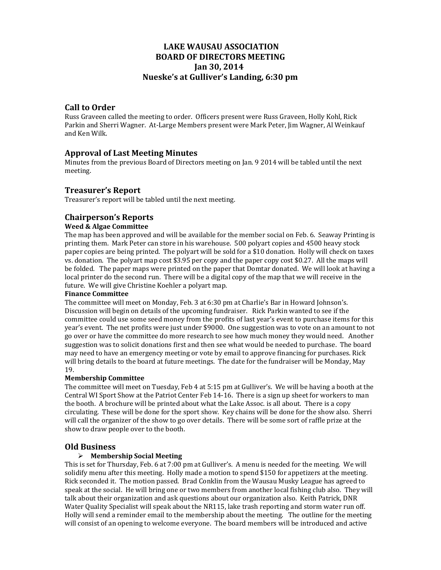# **LAKE WAUSAU ASSOCIATION BOARD OF DIRECTORS MEETING Jan 30, 2014 Nueske's at Gulliver's Landing, 6:30 pm**

## **Call to Order**

Russ Graveen called the meeting to order. Officers present were Russ Graveen, Holly Kohl, Rick Parkin and Sherri Wagner. At-Large Members present were Mark Peter, Jim Wagner, Al Weinkauf and Ken Wilk. 

# **Approval of Last Meeting Minutes**

Minutes from the previous Board of Directors meeting on Jan. 9 2014 will be tabled until the next meeting. 

# **Treasurer's Report**

Treasurer's report will be tabled until the next meeting.

# **Chairperson's Reports**

### **Weed & Algae Committee**

The map has been approved and will be available for the member social on Feb. 6. Seaway Printing is printing them. Mark Peter can store in his warehouse. 500 polyart copies and 4500 heavy stock paper copies are being printed. The polyart will be sold for a \$10 donation. Holly will check on taxes vs. donation. The polyart map cost \$3.95 per copy and the paper copy cost  $$0.27$ . All the maps will be folded. The paper maps were printed on the paper that Domtar donated. We will look at having a local printer do the second run. There will be a digital copy of the map that we will receive in the future. We will give Christine Koehler a polyart map.

#### **Finance Committee**

The committee will meet on Monday, Feb. 3 at 6:30 pm at Charlie's Bar in Howard Johnson's. Discussion will begin on details of the upcoming fundraiser. Rick Parkin wanted to see if the committee could use some seed money from the profits of last year's event to purchase items for this year's event. The net profits were just under \$9000. One suggestion was to vote on an amount to not go over or have the committee do more research to see how much money they would need. Another suggestion was to solicit donations first and then see what would be needed to purchase. The board may need to have an emergency meeting or vote by email to approve financing for purchases. Rick will bring details to the board at future meetings. The date for the fundraiser will be Monday, May 19. 

#### **Membership Committee**

The committee will meet on Tuesday, Feb 4 at 5:15 pm at Gulliver's. We will be having a booth at the Central WI Sport Show at the Patriot Center Feb 14-16. There is a sign up sheet for workers to man the booth. A brochure will be printed about what the Lake Assoc. is all about. There is a copy circulating. These will be done for the sport show. Key chains will be done for the show also. Sherri will call the organizer of the show to go over details. There will be some sort of raffle prize at the show to draw people over to the booth.

### **Old Business**

### **Membership Social Meeting**

This is set for Thursday, Feb. 6 at 7:00 pm at Gulliver's. A menu is needed for the meeting. We will solidify menu after this meeting. Holly made a motion to spend \$150 for appetizers at the meeting. Rick seconded it. The motion passed. Brad Conklin from the Wausau Musky League has agreed to speak at the social. He will bring one or two members from another local fishing club also. They will talk about their organization and ask questions about our organization also. Keith Patrick, DNR Water Quality Specialist will speak about the NR115, lake trash reporting and storm water run off. Holly will send a reminder email to the membership about the meeting. The outline for the meeting will consist of an opening to welcome everyone. The board members will be introduced and active